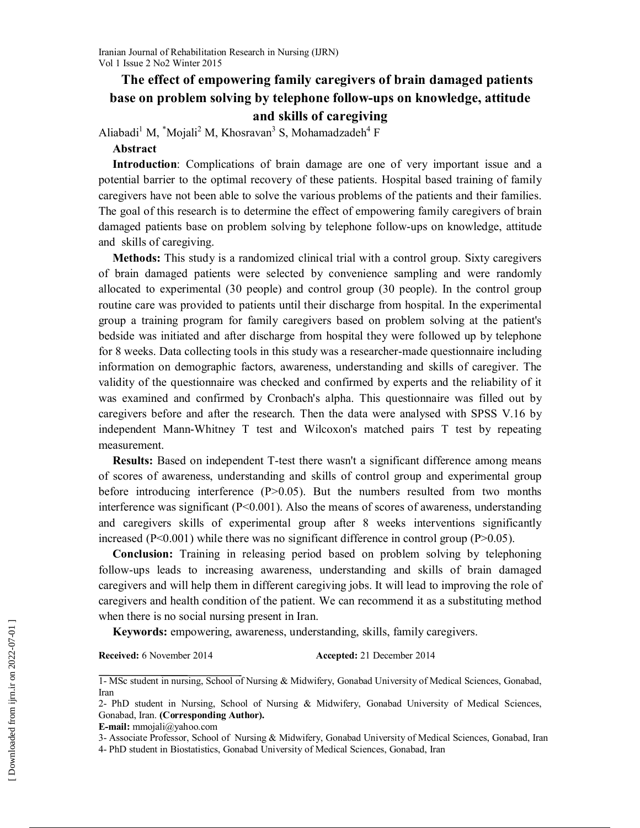# The effect of empowering family caregivers of brain damaged patients base on problem solving by telephone follow-ups on knowledge, attitude and skills of caregiving

Aliabadi<sup>1</sup> M,  $^*$ Mojali<sup>2</sup> M, Khosravan<sup>3</sup> S, Mohamadzadeh<sup>4</sup> F

#### Abstract

Introduction: Complications of brain damage are one of very important issue and a potential barrier to the optimal recovery of these patients. Hospital based training of family caregivers have not been able to solve the various problems of the patients and their families. The goal of this research is to determine the effect of empowering family caregivers of brain damaged patients base on problem solving by telephone follow-ups on knowledge, attitude and skills of caregiving.

Methods: This study is a randomized clinical trial with a control group. Sixty caregivers of brain damaged patients were selected by convenience sampling and were randomly allocated to experimental (30 people) and control group (30 people). In the control group routine care was provided to patients until their discharge from hospital. In the experimental group a training program for family caregivers based on problem solving at the patient's bedside was initiated and after discharge from hospital they were followed up by telephone for 8 weeks. Data collecting tools in this study was a researcher-made questionnaire including information on demographic factors, awareness, understanding and skills of caregiver. The validity of the questionnaire was checked and confirmed by experts and the reliability of it was examined and confirmed by Cronbach's alpha. This questionnaire was filled out by caregivers before and after the research. Then the data were analysed with SPSS V.16 by independent Mann-Whitney T test and Wilcoxon's matched pairs T test by repeating measurement.

Results: Based on independent T-test there wasn't a significant difference among means of scores of awareness, understanding and skills of control group and experimental group before introducing interference (P>0.05). But the numbers resulted from two months interference was significant  $(P< 0.001)$ . Also the means of scores of awareness, understanding and caregivers skills of experimental group after 8 weeks interventions significantly increased  $(P<0.001)$  while there was no significant difference in control group  $(P>0.05)$ .

Conclusion: Training in releasing period based on problem solving by telephoning follow-ups leads to increasing awareness, understanding and skills of brain damaged caregivers and will help them in different caregiving jobs. It will lead to improving the role of caregivers and health condition of the patient. We can recommend it as a substituting method when there is no social nursing present in Iran.

Keywords: empowering, awareness, understanding, skills, family caregivers.

Received: 6 November 2014 Accepted: 21 December 2014

<sup>1-</sup> MSc student in nursing, School of Nursing & Midwifery, Gonabad University of Medical Sciences, Gonabad, Iran

<sup>2-</sup> PhD student in Nursing, School of Nursing & Midwifery, Gonabad University of Medical Sciences, Gonabad, Iran. (Corresponding Author).

E-mail: mmojali@yahoo.com

<sup>3-</sup> Associate Professor, School of Nursing & Midwifery, Gonabad University of Medical Sciences, Gonabad, Iran

<sup>4-</sup> PhD student in Biostatistics, Gonabad University of Medical Sciences, Gonabad, Iran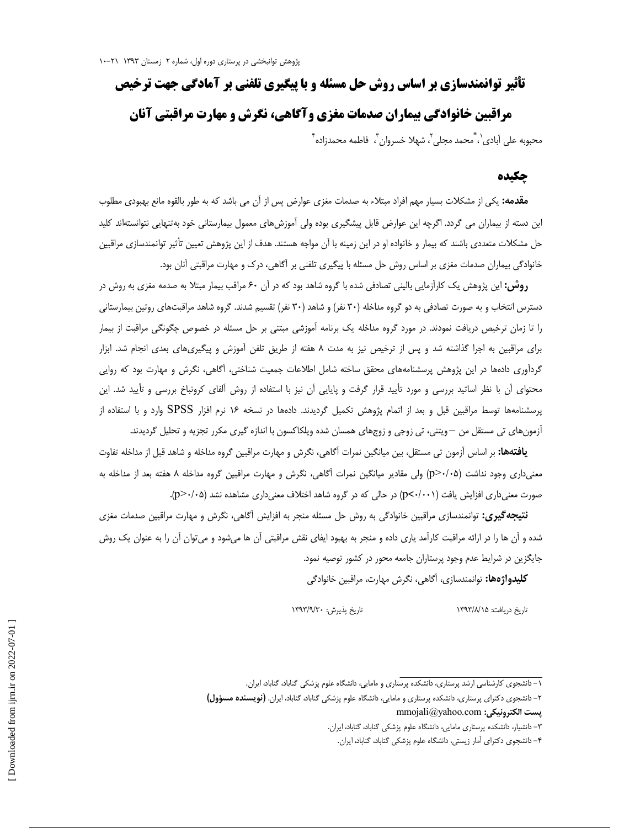# **تأثير توانمندسازي بر اساس روش حل مسئله و با پيگيري تلفني بر آمادگي جهت ترخيص** مراقبين خانوادگي بيماران صدمات مغزي و آگاهي ، نگرش و مهارت مراقبتي آنان محبوبه على آبادي`، ٌمحمد مجلي<sup>٢</sup>، شهلا خسروان <sup>٣</sup>، فاطمه محمدزاده ٔ ،

#### چكيده

**مقدمه:** يكي از مشكلات بسيار مهم افراد مبتلاء به صدمات مغزي عوارض پس از آن مي باشد كه به طور بالقوه مانع بهبودي مطلوب اين دسته از بيماران مي گردد. اگرچه اين عوارض قابل پيشگيري بوده ولي آموزشهاي معمول بيمارستاني خود بهتنهايي نتوانستهاند كليد حل مشكلات متعددي باشند كه بيمار و خانواده او در اين زمينه با آن مواجه هستند. هدف از اين پژوهش تعيين تأثير توانمندسازي مراقبين خانوادگي بيماران صدمات مغزي بر اساس روش حل مسئله با پيگيري تلفني بر آگاهي، درك و مهارت مراقبتي آنان .بود

**روش:** اين پژوهش يك كارآزمايي باليني تصادفي شده با گروه شاهد بود كه در آن ۶۰ مراقب بيمار مبتلا به صدمه مغزي به روش در دسترس انتخاب و به صورت تصادفي به دو گروه مداخله (۳۰ نفر) و شاهد (۳۰ نفر) تقسيم شدند. گروه شاهد مراقبتهاي روتين بيمارستاني را تا زمان ترخيص دريافت نمودند در. مورد گروه مداخله يك برنامه آموزشي مبتني بر حل مسئله در خصوص چگونگي مراقبت از بيمار براي مراقبين به اجرا گذاشته شد و پس از ترخيص نيز به مدت 8 هفته از طريق تلفن آموزش و پيگيريهاي بعدي انجام شد. ابزار گردآوري دادهها در اين پژوهش پرسشنامههاي محقق ساخته شامل اطلاعات جمعيت شناختي، آگاهي، نگرش و مهارت بود كه روايي محتواي آن با نظر اساتيد بررسي و مورد تأييد قرار گرفت و پايايي آن نيز با استفاده از روش آلفاي كرونباخ بررسي و تأييد شد. اين پرسشنامهها توسط مراقبين قبل و بعد از اتمام پژوهش تكميل گرديدند. دادهها در نسخه ۱۶ نرم افزار SPSS وارد و با استفاده از آزمونهاي تي مستقل من – ويتني، تي زوجي و زوجهاي همسان شده ويلكاكسون با اندازه گيري مكرر تجزيه و تحليل گرديدند.

**يافتهها:** بر اساس آزمون تي مستقل، بين ميانگين نمرات آگاهي، نگرش و مهارت مراقبين گروه مداخله و شاهد قبل از مداخله تفاوت معنيداري وجود نداشت ( 05/0 <p ( ولي مقادير ميانگين نمرات آگاهي، نگرش و مهارت مراقبين گروه مداخله 8 هفته بعد از مداخله به صورت معنى داري افزايش يافت (p<٠/٠٠١) در حالي كه در گروه شاهد اختلاف معني داري مشاهده نشد (p>٠/٠۵).

نتيجهگيري: توانمندسازي مراقبين خانوادگي به روش حل مسئله منجر به افزايش آگاهي، نگرش و مهار ت مراقبين صدمات مغزي شده و آن ها را در ارائه مراقبت كارآمد ياري داده و منجر به بهبود ايفاي نقش مراقبتي آن ها ميشود و ميتوان آن را به عنوان يك روش جايگزين در شرايط عدم وجود پرستاران جامعه محور در كشور توصيه نمود.

كليدواژهها: توانمندسازي، آگاهي، نگرش مهارت، مراقبين خانوادگي

تاريخ دريافت: 1393/8/15 تاريخ پذيرش: 1393/9/30

 <sup>- 1</sup> دانشجوي كارشناسي ارشد پرستاري، دانشكده پرستاري و مامايي، دانشگاه علوم پزشكي گناباد، گناباد، ايران .

 <sup>- 2</sup> دانشجوي دكتراي پرستاري، دانشكده پرستاري و مامايي، دانشگاه علوم پزشكي گناباد، گناباد، ايران . (نويسنده مسؤ )ول  $\text{mmojali}(a)$ yahoo.com :يست الكترونيكي

 <sup>- 3</sup> دانشيار، دانشكده پرستاري مامايي، دانشگاه علوم پزشكي گناباد، گناباد، ايران .

 <sup>- 4</sup> دانشجوي دكتراي آمار زيستي، دانشگاه علوم پزشكي گناباد، گناباد، ايران.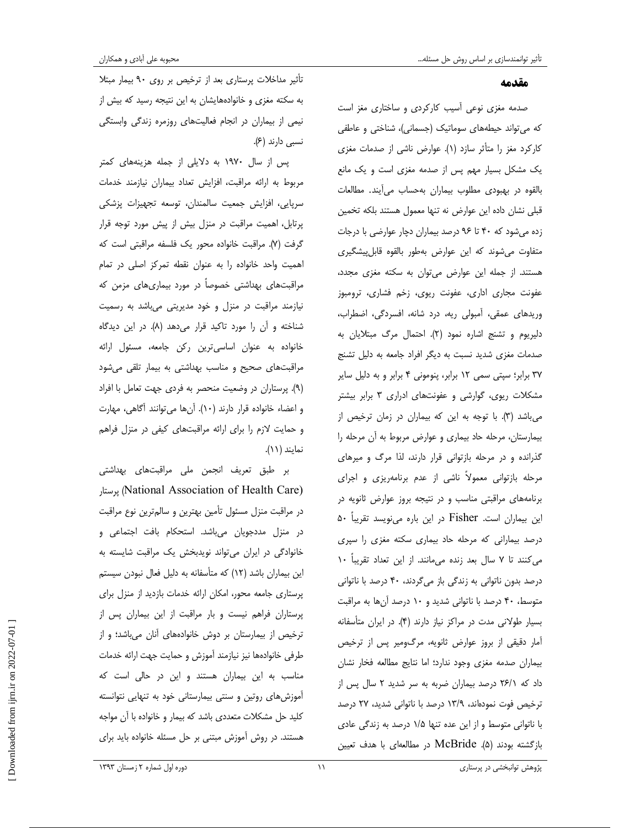#### مقدمه

صدمه مغزي نوعي آسيب كاركردي و ساختاري مغز است كه مي تواند حيطههاي سوماتيك (جسماني)، شناختي و عاطفي كاركرد مغز را متأثر سازد (١). عوارض ناشي از صدمات مغزي يك مشكل بسيار مهم پس از صدمه مغزي است و يك مانع بالقوه در بهبودي مطلوب بيماران بهحساب ميآيند. مطالعات قبلي نشان داده اين عوارض نه تنها معمول هستند بلكه تخمين زده مي شود كه تا 40 96 درصد بيماران دچار عوارضي با درجات متفاوت ميشوند كه اين عوارض بهطور بالقوه پ قابل يشگيري هستند. از جمله اين عوارض ميتوان به سكته مغزي مجدد، عفونت مجاري اداري، عفونت ريوي، زخم فشاري، ترومبوز وريدهاي عمقي، آمبولي ريه، درد شانه، افسردگي، اضطراب، دليريوم و تشنج اشاره نمود (٢). احتمال مرگ مبتلايان به صدمات مغزي شديد نسبت به ديگر افراد جامعه به دليل تشنج 37 برابر ؛ سپتي سمي 12 برابر، پنوموني 4 برابر و به دليل ساير مشكلات ريوي، گوارشي و يها عفونت ادراري 3 برابر بيشتر مي باشد (٣). با توجه به اين كه بيماران در زمان ترخيص از بيمارستان، مرحله حاد بيماري و عوارض مربوط به آن مرحله را گذرانده و در مرحله بازتواني قرار دارند، لذا مرگ و ميرهاي مرحله بازتواني معمولاً ناشي از عدم برنامهريزي و اجراي برنامههاى مراقبتي مناسب و در نتيجه بروز عوارض ثانويه در اين بيماران است. Fisher در اين باره مي،نويسد تقريباً ۵۰ درصد بيماراني كه مرحله حاد بيماري سكته مغزي را سپري مي كنند تا ٧ سال بعد زنده مي مانند. از اين تعداد تقريباً ١٠ درصد بدون ناتواني به زندگي باز ميگردند، 40 درصد با ناتواني متوسط، ۴۰ درصد با ناتوانی شدید و ۱۰ درصد آنها به مراقبت بسيار طولاني مدت در مراكز نياز دارند . )4( در ايران متأسفانه آمار دقيقي از بروز عوارض ثانويه، مرگومير پس از ترخيص بيماران صدمه مغزي وجود ندارد؛ اما نتايج مطالعه فخار نشان داد كه 1/ 26 درصد بيماران ضربه به سر شديد 2 سال پس از ترخيص فوت نمودهاند، 9/ 13 درصد با ناتواني شديد، 27 درصد با ناتواني متوسط و از اين عده تنها 5/1 درصد به زندگي عادي بازگشته بودند . )5( McBride در مطالعهاي با هدف تعيين

تأثير مداخلات پرستاري بعد از ترخيص بر روي 90 بيمار مبتلا به سكته مغزي و خانوادههايشان به اين نتيجه رسيد كه بيش از نيمي از بيماران در انجام فعاليتهاي روزمره زندگي وابستگي نسبي دارند (۶).

پس از سال 1970 به دلايلي از جمله هز ينههاي كمتر مربوط به ارائه مراقبت ، افزايش تعداد بيماران نيازمند خدمات سرپايي، افزايش جمعيت سالمندان، توسعه تجهيزات پزشكي پرتابل ، اهميت مراقبت در منزل بيش از پيش مورد توجه قرار گرفت (٧). مراقبت خانواده محور يك فلسفه مراقبتي است كه اهميت واحد خانواده را به عنوان نقطه تمركز اصلي در تمام مراقبتهاي بهداشتي خصوصاً در مورد بيماريهاي مزمن كه نيازمند مراقبت در منزل و خود مديريتي ميباشد به رسميت شناخته و آن را مورد تاكيد قرار مى دهد (٨). در اين ديدگاه خانواده به عنوان اساسيترين ركن جامعه، مسئول ارائه مراقبتهاي صحيح و مناسب بهداشتي به بيمار تلقي يم شود . )9( پرستاران در وضعيت منحصر به فردي جهت تعامل با افراد و اعضاء خانواده قرار دارند (١٠). آنها مي توانند آگاهي، مهارت و حمايت لازم را براي ارائه مراقبتهاي كيفي در منزل فراهم نمايند (١١).

بر طبق تعريف انجمن ملي مراقبتهاي بهداشت ي پرستار) National Association of Health Care) در مراقبت منزل مسئول تأمين بهترين و سالمترين نوع مراقبت در منزل مددجويان ميباشد. استحكام بافت اجتماعي و خانوادگي در ايران ميتواند نويدبخش يك مراقبت شايسته به اين بيماران باشد (١٢) كه متأسفانه به دليل فعال نبودن سيستم پرستاري جامعه محور ، امكان ارائه خدمات بازديد از منزل براي پرستاران فراهم نيست و بار مراقبت از اين بيماران پس از ترخيص از بيمارستان بر دوش خانوادههاى آنان مىباشد؛ و از طرفي خانوادهها نيز نيازمند آموزش و حمايت جهت ارائه خدمات مناسب به اين بيماران هستند و اين در حالي است كه آموزشهاي روتين و سنتي بيمارستاني خود به تنهايي نتوانسته كليد حل مشكلات متعددي باشد كه بيمار و خانواده با آن مواجه هستند. در روش آموزش مبتني بر حل مسئله خانواده بايد براي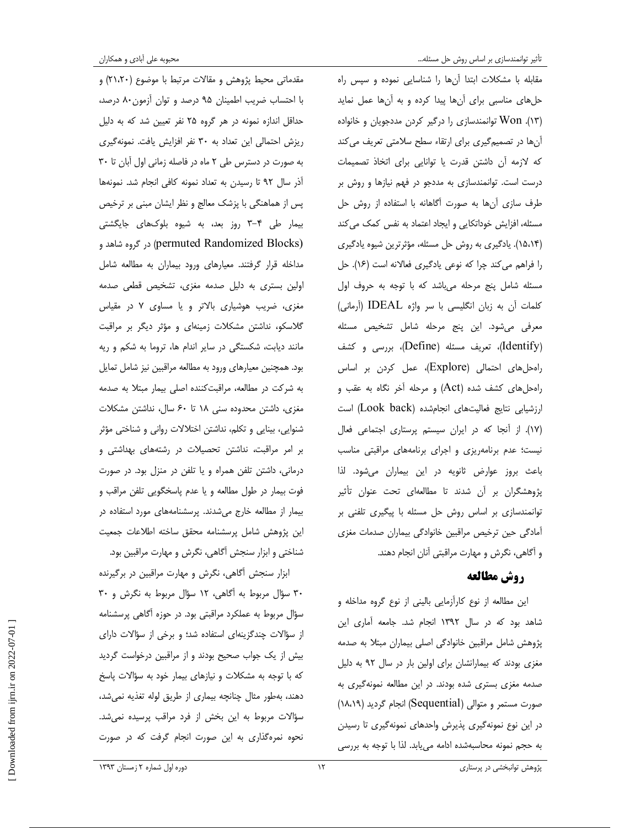حلهاى مناسبي براي أنها پيدا كرده و به أنها عمل نمايد ( . )13 Won توانمندسازي را درگير كردن مددجويان و خانواده ها آن در تصم يمگيري براي ارتقا ء سطح سلامتي تعريف مي كند كه لازمه آن داشتن قدرت يا توانايي براي اتخاذ تصميمات درست است. توانمندساز ي به مددجو در فهم نيازها و روش بر طرف سازي آنها به صورت آگاهانه با استفاده از روش حل مسئله، افزايش خوداتكايي و ايجاد اعتماد به نفس كمك مي كند (15،14 . ) يادگيري به روش حل مسئله، مؤثرترين شيوه يادگيري را فراهم مي كند چرا كه نوعي يادگيري فعالانه است (١۶). حل مسئله شامل پنج مرحله مىباشد كه با توجه به حروف اول كلمات آن به زبان انگليسي با سر واژه IDEAL ) آرماني) معرفي ميشود. اين پنج مرحله شامل تشخيص مسئله (Identify)، تعريف مسئله (Define)، بررسي و كشف راه حل هاى احتمالى (Explore)، عمل كردن بر اساس راه يها حل كشف شده (Act و ) مرحله آخر نگاه به عقب و ارزشيابي نتايج فعاليتهاى انجامشده (Look back) است ( .)17 از آنجا كه در ايران سيستم پرستاري اجتماعي فعال نيست؛ عدم برنامهريزي و اجراي برنامههاي مراقبتي مناسب باعث بروز عوارض ثانويه در اين بيماران مي .شود لذا پژوهشگران بر آن شدند تا مطالعهای تحت عنوان تأثير توانمندسازي بر اساس روش حل مسئله با پيگيري تلفني بر آمادگي حين ترخيص مراقبين خانوادگي بيماران صدمات مغزي و آگاهي، نگرش و مهارت مراقبتي آنان انجام دهند .

# روش مطالعه

اين مطالعه از نوع كارآزمايي باليني از نوع گروه مداخله و شاهد بود كه در سال 1392 انجام شد. جامعه آماري اين پژوهش شامل مراقبين خانوادگي اصلي بيماران مبتلا به صدمه مغزي بودند كه بيمارانشان براي اولين بار در سال ٩٢ به دليل صدمه مغزي بستري شده بودند. در اين مطالعه نمونهگيري به صورت مستمر و متوالي ( Sequential ( انجام گرديد ( 18،19 ) در اين نوع نمونهگيري پذيرش واحدهاي گ نمونه يري تا رسيدن به حجم نمونه محاسبه شده ادامه يم يابد. لذا با توجه به بررسي

مقدماتي محيط پژوهش و مقالات مرتبط با موضوع (21،20 و ) با احتساب ضريب اطمينان 95 درصد و توان آزمون 80 درصد، حداقل اندازه نمونه در هر گروه 25 نفر تعيين شد كه به دليل ريزش احتمالي اين تعداد به 30 نفر افزايش يافت. نمونهگيري به صورت در دسترس طي 2 ماه در فاصله زماني اول آبان تا 30 آذر سال ۹۲ تا رسیدن به تعداد نمونه كافي انجام شد. نمونهها پس از هماهنگي با پزشك معالج و نظر ايشان مبني بر ترخيص بيمار طي ٣-٣ روز بعد، به شيوه بلوك هاى جايگشتى (Blocks Randomized permuted در ) گروه شاهد و مداخله قرار گرفتند . معيارهاي ورود بيماران به مطالعه شامل اولين بستري به دليل صدمه مغزي ، تشخيص قطعي صدمه مغزي، ضريب هوشياري بالاتر ياو مساوي 7 در مقياس گلاسكو، نداشتن مشكلات زمينهاي و مؤثر ديگر بر مراقبت مانند ديابت، شكستگي در ساير اندام ها، تروما به شكم و ريه .بود همچنين معيارهاي ورود به مطالعه مراقبين نيز شامل تمايل به شركت در مطالعه ، مراقبتكننده اصلي بيمار مبتلا به صدمه مغزي، داشتن محدوده سني تا 18 60 سال، نداشتن مشكلات شنوايي، بينايي و تكلم ، نداشتن اختلالات رواني و شناختي مؤثر بر امر مراقبت، نداشتن تحصيلات در رشتههاى بهداشتى و درماني، داشتن تلفن همراه و يا تلفن در منزل بود. در صورت فوت بيمار در طول مطالعه و يا عدم پاسخگويي تلفن مراقب و بيمار از مطالعه خارج ميشدند . پرسشنامههاي مورد استفاده در اين پژوهش شامل پرسشنامه محقق ساخته اطلاعات جمعيت شناختي و ابزار سنجش آگاهي، نگرش و مهارت مراقبين بود .

ابزار سنجش آگاهي، نگرش و مهارت مراقبين در برگيرنده 30 سؤال مربوط به آگاهي، 12 سؤال مربوط به نگرش و 30 سؤال مربوط به عملكرد مراقبتي بود. در حوزه آگاهي پرسشنامه از سؤالات چندگزينهاي استفاده شد؛ و برخي از سؤالات داراي بيش از يك جواب صحيح بودند و از مراقبين درخواست گرد يد كه با توجه به مشكلات و نيازهاي بيمار خود به سؤالات پاسخ دهند، به طور مثال چنانچه بيماري از طريق لوله تغذيه نمي شد، سؤالات مربوط به اين بخش از فرد مراقب پرسيده نمي شد. نحوه نمرهگذاري به اين صورت انجام گرفت كه در صورت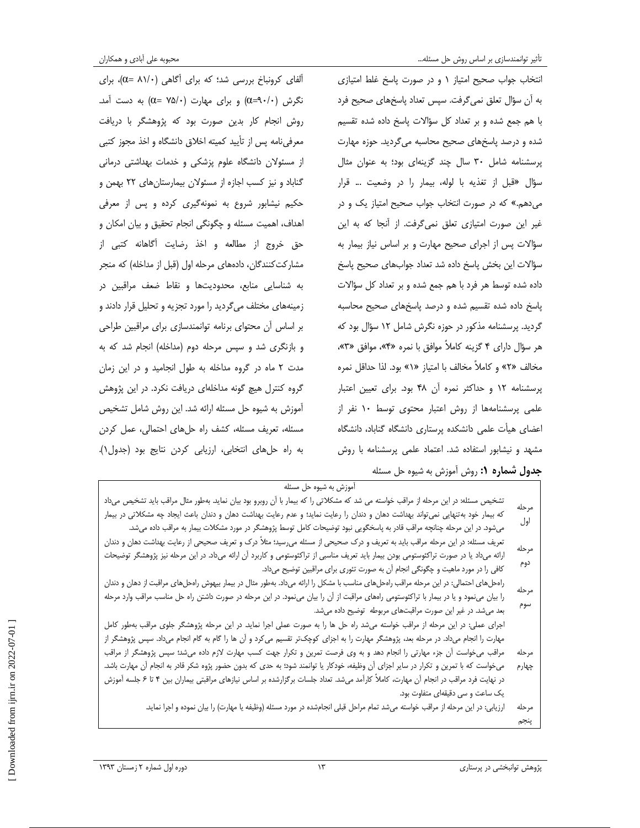انتخاب جواب صحيح امتياز 1 و در صورت پاسخ غلط امتيازي به آن سؤال تعلق نميگرفت. سپس تعداد پاسخهاي صحيح فرد با هم جمع شده و بر تعداد كل سؤالات پاسخ داده شده تقسيم شده و درصد پاسخهای صحیح محاسبه میگردید. حوزه مهارت پرسشنامه شامل 30 سال چند گزينهاي بود؛ به عنوان مثال سؤال « قبل از تغذيه با لوله ، بيمار را در وضعيت ... قرار ميدهم ». كه در صورت انتخاب جواب صحيح امتياز يك و در غير اين صورت امتيازي تعلق نمي گرفت. از آنجا كه به اين سؤالات پس از اجراي صحيح مهارت و بر اساس نياز بيمار به سؤالات اين بخش پاسخ داده شد تعداد جوابهاي صحيح پاسخ داده شده توسط هر فرد با هم جمع شده و بر تعداد كل سؤالات پاسخ داده شده تقسيم شده و درصد پاسخهای صحيح محاسبه گرديد . پرسشنامه مذكور در حوزه نگرش شامل 12 سؤال بود كه هر سؤال داراي 4 گزينه كاملاً موافق با نمره »4« ، موافق ، »3« مخالف «٢» و كاملاً مخالف با امتياز «١» بود. لذا حداقل نمره پرسشنامه 12 و حداكثر نمره آن 48 .بود براي تعيين اعتبار علمي پرسشنامهها از روش اعتبار محتوي توسط 10 نفر از اعضاي هيأت علمي دانشكده پرستاري دانشگاه گناباد، دانشگاه مشهد و نيشابور استفاده شد. اعتماد علمي پرسشنامه با روش آلفاي كرونباخ بررسي شد؛ كه براي آگاهي (81/0 = α ، ( براي نگرش  $(0=9 \cdot \cdot)$  و برای مهارت  $(0=1)$  به دست آمد. روش انجام كار بدين صورت بود كه پژوهشگر با دريافت معرفي نامه پس از تأييد كميته اخلاق دانشگاه و اخذ مجوز كتبي از مسئولان دانشگاه علوم پزشكي و خدمات بهداشتي درماني گناباد و نيز كسب اجازه از مسئولان بيمارستانهاي 22 بهمن و حكيم نيشابور شروع به نمونهگيري كرده و پس از معرفي اهداف، اهميت مسئله و چگونگي انجام تحقيق و بيان امكان و حق خروج از مطالعه و اخذ رضايت آگاهانه كتبي از مشاركتكنندگان، دادههاي مرحله اول (قبل از مداخله) كه منجر به شناسايي منابع، محدوديتها و نقاط ضعف مراقبين در زمينههاي مختلف يم گرديد را مورد تجزيه و تحليل قرار دادند و بر اساس آن محتواي برنامه توانمندسازي براي مراقبين طراحي و بازنگري شد و سپس مرحله دوم (مداخله) انجام شد كه به مدت 2 ماه در گروه مداخله به طول انجاميد و در اين زمان گروه كنترل هيچ گونه مداخلهاي دريافت نكرد . در اين پژوهش آموزش به شيوه حل مسئله ارائه شد. اين روش شامل تشخيص مسئله، تعريف مسئله، كشف راه حلهاي احتمالي، عمل كردن به راه حل هاى انتخابي، ارزيابي كردن نتايج بود (جدول ١). جدول شماره 1: روش آموزش به شيوه حل مسئله

| آموزش به شیوه حل مسئله                                                                                                                   |       |
|------------------------------------------------------------------------------------------------------------------------------------------|-------|
| تشخیص مسئله: در این مرحله از مراقب خواسته می شد که مشکلاتی را که بیمار با آن روبرو بود بیان نماید. بهطور مثال مراقب باید تشخیص میداد     | مرحله |
| که بیمار خود بهتنهایی نمی¤واند بهداشت دهان و دندان را رعایت نماید؛ و عدم رعایت بهداشت دهان و دندان باعث ایجاد چه مشکلاتی در بیمار        |       |
| میشود. در این مرحله چنانچه مراقب قادر به پاسخگویی نبود توضیحات کامل توسط پژوهشگر در مورد مشکلات بیمار به مراقب داده میشد.                | اول   |
| تعریف مسئله: در این مرحله مراقب باید به تعریف و درک صحیحی از مسئله میرسید؛ مثلاً درک و تعریف صحیحی از رعایت بهداشت دهان و دندان          | مرحله |
| ارائه میداد یا در صورت تراکئوستومی بودن بیمار باید تعریف مناسبی از تراکئوستومی و کاربرد آن ارائه میداد. در این مرحله نیز پژوهشگر توضیحات |       |
| کافی را در مورد ماهیت و چگونگی انجام آن به صورت تئوری برای مراقبین توضیح میداد.                                                          | دوم   |
| رامحلهای احتمالی: در این مرحله مراقب رامحلهای مناسب با مشکل را ارائه میداد. بهطور مثال در بیمار بیهوش رامحلهای مراقبت از دهان و دندان    | مرحله |
| را بیان مینمود و یا در بیمار با تراکئوستومی رامهای مراقبت از آن را بیان مینمود. در این مرحله در صورت داشتن راه حل مناسب مراقب وارد مرحله |       |
| بعد می شد. در غیر این صورت مراقبتهای مربوطه توضیح داده می شد.                                                                            | سوم   |
| اجرای عملی: در این مرحله از مراقب خواسته میشد راه حل ها را به صورت عملی اجرا نماید در این مرحله پژوهشگر جلوی مراقب بهطور کامل            |       |
| مهارت را انجام میداد. در مرحله بعد، پژوهشگر مهارت را به اجزای کوچکتر تقسیم میکرد و آن ها را گام به گام انجام میداد. سپس پژوهشگر از       |       |
| مراقب میخواست آن جزء مهارتی را انجام دهد و به وی فرصت تمرین و تکرار جهت کسب مهارت لازم داده میشد؛ سپس پژوهشگر از مراقب                   | مرحله |
| میخواست که با تمرین و تکرار در سایر اجزای آن وظیفه، خودکار یا توانمند شود؛ به حدی که بدون حضور پژوه شکر قادر به انجام آن مهارت باشد.     | چهارم |
| در نهایت فرد مراقب در انجام آن مهارت، کاملاً کارآمد میشد. تعداد جلسات برگزارشده بر اساس نیازهای مراقبتی بیماران بین ۴ تا ۶ جلسه أموزش    |       |
| یک ساعت و سی دقیقهای متفاوت بود.                                                                                                         |       |
| ارزیابی: در این مرحله از مراقب خواسته میشد تمام مراحل قبلی انجامشده در مورد مسئله (وظیفه یا مهارت) را بیان نموده و اجرا نماید            | مرحله |
|                                                                                                                                          | پنجم  |
|                                                                                                                                          |       |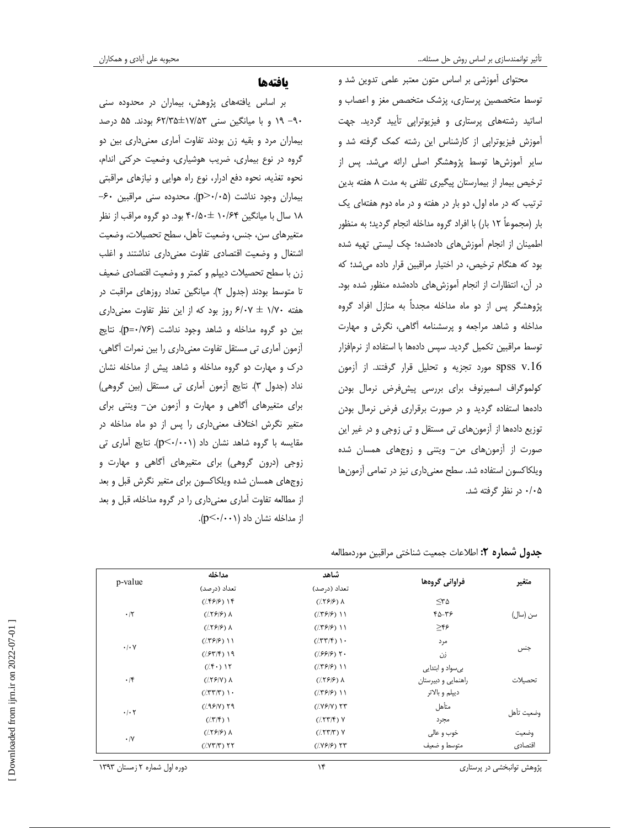محتواي آموزشي بر اساس متون معتبر علمي تدوين شد و توسط متخصصين پرستاري، پزشك متخصص مغز و اعصاب و اساتيد رشتههاي پرستاري و فيزيوتراپي تأييد گرديد. جهت آموزش فيزيوتراپي از كارشناس اين رشته كمك گرفته شد و ساير آموزش ها توسط پژوهشگر اصلي ارائه مي شد. پس از ترخيص بيمار از بيمارستان پيگيري تلفني به مدت 8 هفته بدين ترتيب كه در ماه اول، دو بار در هفته و در ماه دوم هفتهاى يك بار (مجموعاً ۱۲ بار) با افراد گروه مداخله انجام گرديد؛ به منظور اطمينان از انجام آموزش هاى دادهشده؛ چك ليستي تهيه شده بود كه هنگام ترخيص، در اختيار مراقبين قرار داده مي شد؛ كه در آن، انتظارات از انجام آموزش هاى داده شده منظور شده بود. پژوهشگر پس از دو ماه مداخله مجدداً به منازل افراد گروه مداخله و شاهد مراجعه و پرسشنامه آگاهي ، نگرش و مهارت توسط مراقبين تكميل گرديد. سپس دادهها با استفاده از نرمافزار .16v spss مورد تجزيه و تحليل قرار گرفتند. از آزمون كولموگراف اسميرنوف براي بررسي پيش فرض نرمال بودن دادهها استفاده گرديد و در صورت برقراري فرض نرمال بودن توزيع دادهها از آزمونهاي تي مستقل و تي زوجي و در غير اين صورت از آزمونهاي من- ويتني و زوجهاي همسان شده ويلكاكسون استفاده شد. سطح معنىداري نيز در تمامي آزمونها 05/0 در نظر گرفته شد .

### ها يافته

بر اساس يافتههاي پژوهش ، بيماران در محدوده سني 90- 19 و با ميانگين سني 53/ ±17 35/ 62 بود . ند در 55 صد بيماران مرد و بقيه زن بودند تفاوت آماري معن يداري بين دو گروه در نوع بيماري، ضريب هوشياري، وضعيت حركتي اندام، نحوه تغذيه، نحوه دفع ادرار، نوع راه هوايي و نيازهاي مراقبتي بيماران وجود نداشت ( 05/0 <p . (محدوده سني مراقبين 60- 18 سال با ميانگين 64/ 10 ± 50/ 40 بود دو. گروه مراقب از نظر متغيرهاي سن، جنس، وضعيت تأهل ، سطح تحصيلات، وضعيت اشتغال و وضعيت اقتصاد ي تفاوت معن يداري نداشتند و اغلب زن با سطح تحصيلات ديپلم و كمتر و وضعيت اقتصادي ضعيف تا متوسط بودند (جدول ٢). ميانگين تعداد روزهاي مراقبت در هفته 70/1 ± 07/6 روز بود كه از اين نظر تفاوت معن يداري بين دو گروه مداخله و شاهد وجود نداشت (p=٠/٧۶). نتايج آزمون آماري تي مستقل تفاوت معن يداري را بين نمرات آگاهي، درك و مهارت دو گروه مداخله و شاهد پيش از مداخله نشان نداد (جدول ٣). نتايج آزمون آماري تي مستقل (بين گروهي) براي متغيرهاي آگاهي و مهارت و آزمون من - ويتني براي متغير نگرش اختلاف معنيداري را پس از دو ماه مداخله در مقايسه با گروه شاهد نشان داد (p<۰/۰۰۱). نتايج آماري تي زوجي ( درون گروهي ) براي متغيرهاي آگاهي و مهارت و زوجهاي همسان شده ويلكاكسون براي متغير نگرش قبل و بعد از مطالعه تفاوت آماري معنيداري را در گروه مداخله ، قبل و بعد از مداخله نشان داد  $p<\cdots$  ).

| p-value                   | شاهد<br>مداخله     |                      |                     |            |  |
|---------------------------|--------------------|----------------------|---------------------|------------|--|
|                           | تعداد (در صد)      | تعداد (درصد)         | فراواني گروهها      | متغير      |  |
|                           | $(1599)$ 14        | $(1599)$ $\Lambda$   | $\leq r \Delta$     |            |  |
| $\cdot$ /٢                | $(1599)$ $\Lambda$ | $(1599)$ 11          | ۴۵-۳۶               | سن (سال)   |  |
|                           | $(1599)$ $\Lambda$ | $(1599)$ 11          | $\geq$ ۴۶           |            |  |
| $\cdot$ / $\cdot$ Y       | $(1599)$ 11        | (157/5)              | مرد                 |            |  |
|                           | $(7.97/5)$ 19      | $(1.9999)$ T.        | زن                  | جنس        |  |
| $\cdot$ /۴                | $(7.5)$ 15         | $(1599)$ 11          | بیسواد و ابتدایی    |            |  |
|                           | $(159)$ $\lambda$  | $(1599)$ $\lambda$   | راهنمایی و دبیرستان | تحصيلات    |  |
|                           | (1.77/T)           | $(1599)$ 11          | ديپلم و بالاتر      |            |  |
| $\cdot$ / $\cdot$ $\cdot$ | $(199)$ $79$       | $(1.199)$ $\uparrow$ | متأهل               | وضعيت تأهل |  |
|                           | (1.7/F)            | $(7.55)$ Y           | مجرد                |            |  |
| $\cdot/\Upsilon$          | $(1599)$ $\Lambda$ | $(7.55)$ Y           | خوب و عالی          | وضعيت      |  |
|                           | $(1.07/T)$ TT      | $(1.1999)$ TT        | متوسط و ضعیف        | اقتصادى    |  |

|  |  | جدول شماره ٢: اطلاعات جمعيت شناختي مراقبين موردمطالعه |  |  |  |
|--|--|-------------------------------------------------------|--|--|--|
|--|--|-------------------------------------------------------|--|--|--|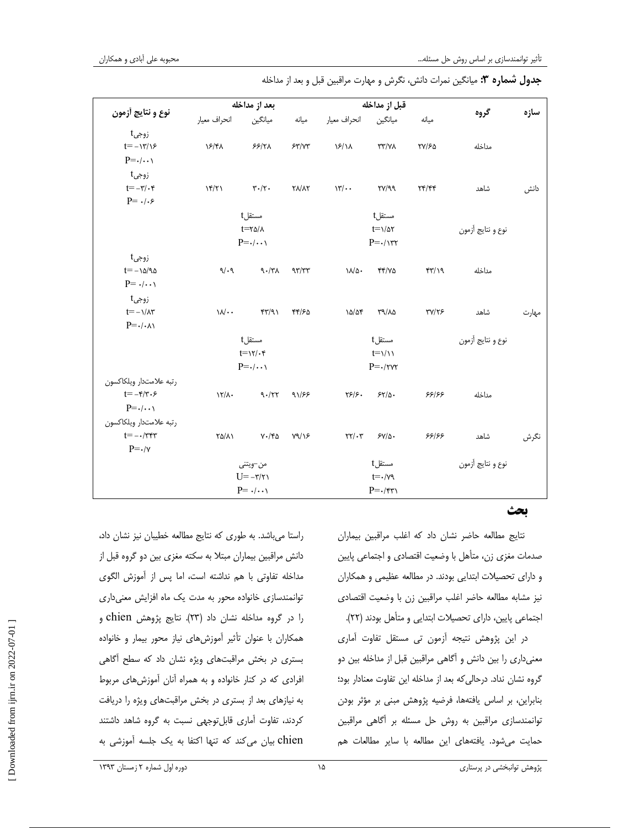| نوع و نتايج أزمون                                               | بعد از مداخله                                               |                                         | قبل از مداخله |                                                        |                          |                                         |                   |       |
|-----------------------------------------------------------------|-------------------------------------------------------------|-----------------------------------------|---------------|--------------------------------------------------------|--------------------------|-----------------------------------------|-------------------|-------|
|                                                                 | انحراف معيار                                                | ميانگين                                 | ميانه         | انحراف معيار                                           | ميانگين                  | ميانه                                   | گروه              | سازه  |
| زوجيt<br>$t = -\frac{y}{x}$                                     | ۱۶/۴۸                                                       | $55/7\lambda$                           | 54/14         | $\frac{15}{1}$                                         | <b>TT/VA</b>             | ٢٧/۶۵                                   | مداخله            |       |
| $P = \cdot / \cdot \cdot$                                       |                                                             |                                         |               |                                                        |                          |                                         |                   |       |
| زوجىt<br>$t=-\mathbf{r}/\cdot\mathbf{r}$<br>$P = \cdot/\cdot$ ۶ | 15/71                                                       | $\mathbf{r}\cdot\mathbf{/}\mathbf{r}$ . | <b>YA/AY</b>  | $\mathcal{W}/\cdot$                                    | $\Gamma Y/\gamma \gamma$ | $\Upsilon \Upsilon / \Upsilon \Upsilon$ | شاهد              | دانش  |
|                                                                 |                                                             | مستقلt                                  |               |                                                        | مستقلt                   |                                         |                   |       |
|                                                                 |                                                             | $t = r\Delta/\lambda$                   |               |                                                        | $t = \frac{1}{\Delta t}$ |                                         | نوع و نتايج أزمون |       |
|                                                                 |                                                             | $P = \cdot / \cdot \cdot \cdot$         |               | $P = \cdot / \sqrt{rr}$                                |                          |                                         |                   |       |
| زوجيt                                                           |                                                             |                                         |               |                                                        |                          |                                         |                   |       |
| $t=-\lambda\Delta/\lambda\Delta$                                | 9/19                                                        | $\gamma \cdot / \gamma \wedge$          | 977           | $\lambda/\Delta$ .                                     | 44/70                    | f(Y')                                   | مداخله            |       |
| $P = \cdot/\cdot\cdot$                                          |                                                             |                                         |               |                                                        |                          |                                         |                   |       |
| زوجىt                                                           |                                                             |                                         |               |                                                        |                          |                                         |                   |       |
| $t=-\frac{1}{\pi}$                                              | $\mathcal{W}$ .                                             | YY/91                                   | 44/60         | 10/07                                                  | ٣٩/٨٥                    | <b>٣٧/٢۶</b>                            | شاهد              | مهارت |
| $P = \cdot / \cdot \wedge$                                      |                                                             |                                         |               |                                                        |                          |                                         |                   |       |
|                                                                 | مستقل†                                                      |                                         |               |                                                        | مستقلt                   |                                         | نوع و نتايج أزمون |       |
|                                                                 | $t = \frac{1}{\sqrt{2}}$<br>$P = \cdot / \cdot \cdot \cdot$ |                                         |               | $t = \frac{1}{\sqrt{2}}$<br>$P = \cdot/\tau \vee \tau$ |                          |                                         |                   |       |
|                                                                 |                                                             |                                         |               |                                                        |                          |                                         |                   |       |
| رتبه علامتدار ويلكاكسون                                         |                                                             |                                         |               |                                                        |                          |                                         |                   |       |
| $t = -\mathfrak{r}/\mathfrak{r}\cdot\mathfrak{r}$               | $15/\lambda$                                                | 9.177                                   | 91/88         | $\frac{1}{2}$                                          | $5\frac{1}{2}$           | ۶۶۱۶۶                                   | مداخله            |       |
| $P = \cdot / \cdot \cdot \cdot$                                 |                                                             |                                         |               |                                                        |                          |                                         |                   |       |
| رتبه علامتدار ويلكاكسون                                         |                                                             |                                         |               |                                                        |                          |                                         |                   |       |
| $t = -\frac{1}{\pi}$                                            | $\Gamma \Delta / \Lambda$                                   | $V \cdot / Y \Delta$                    | Y9/Y          | $\Upsilon\Upsilon/\Upsilon$                            | $SY/\Delta$ .            | ۶۶۱۶۶                                   | شاهد              | نگرش  |
| $P = \cdot / v$                                                 |                                                             |                                         |               |                                                        |                          |                                         |                   |       |
|                                                                 | من–ويتني                                                    |                                         | مستقل†        |                                                        |                          | نوع و نتايج أزمون                       |                   |       |
|                                                                 | $U = -\eta/\eta$                                            |                                         |               |                                                        | $t = -\gamma \gamma$     |                                         |                   |       |
|                                                                 |                                                             | $P = \cdot/\cdot\cdot$                  |               |                                                        | $P = \cdot/\gamma\gamma$ |                                         |                   |       |

### ج**دول شماره ۳:** ميانگين نمرات دانش، نگرش و مهارت مراقبين قبل و بعد از مداخله

#### بحث

نتايج مطالعه حاضر نشان داد كه اغلب مراقبين بيماران صدمات مغزي زن، متأهل با وضعيت اقتصادي و اجتماعي پايين و داراي تحصيلات ابتدايي بودند. در مطالعه عظيمي و همكاران نيز مشابه مطالعه حاضر اغلب مراقبين زن با وضعيت اقتصادي اجتماعي پايين، داراي تحصيلات ابتدايي و متأهل بودند ( )22.

در اين پژوهش نتيجه آزمون تي مستقل تفاوت آماري معنيداري را بين دانش و آگاهي مراقبين قبل از مداخله بين دو گروه نشان نداد. درحالي كه بعد از مداخله اين تفاوت معنادار بود؛ بنابراين، بر اساس يافتهها، فرضيه پژوهش مبنى بر مؤثر بودن توانمندسازي مراقبين به روش حل مسئله بر آگاهي مراقبين حمايت مي شود. يافتههاي اين مطالعه با ساير مطالعات هم

راستا ميباشد. به طوري كه نتايج مطالعه خطيبان نيز نشان داد، دانش مراقبين بيماران مبتلا به سكته مغزي بين دو گروه قبل از مداخله تفاوتي با هم نداشته است، اما پس از آموزش الگوي توانمندسازي خانواده محور به مدت يك ماه افزايش معنى دارى را در گروه مداخله نشان داد ( )23. نتايج پژوهش chien و همكاران با عنوان تأثير آموزشهاي نياز محور بيمار و خانواده بستري در بخش مراقبتهاي ويژه نشان داد كه سطح آگاهي افرادي كه در كنار خانواده و به همراه آنان آموزشهاي مربوط نبه يازهاي بعد از بستري در بخش مراقبتهاي ويژه را دريافت كردند، تفاوت آماري قابلتوجهي نسبت به گروه شاهد داشتند chien بيان ميكند كه تنها اكتفا به يك جلسه آموزشي به

 [\[ Downloaded from ijrn.ir on 2022-07-01 \]](http://ijrn.ir/article-1-70-en.html) Downloaded from ijm.ir on 2022-07-01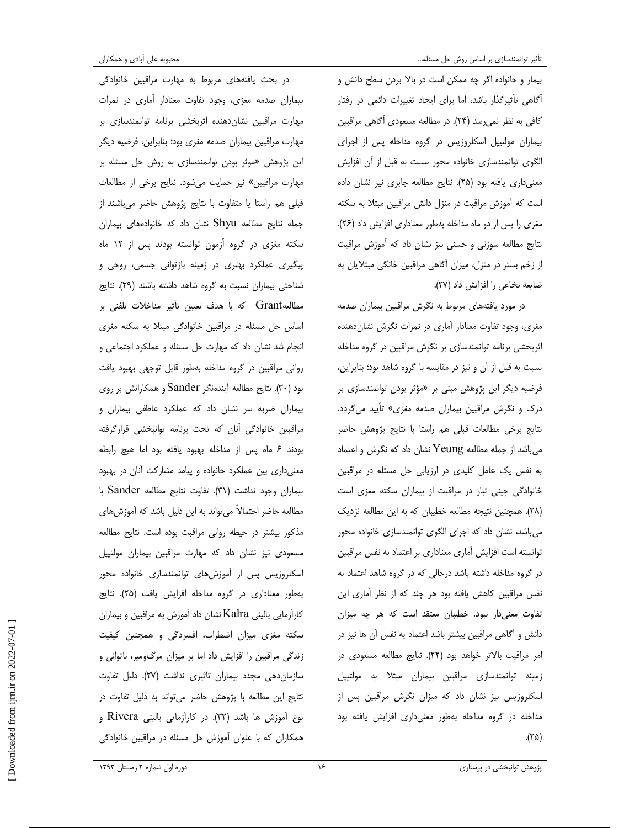بيمار و خانواده اگر چه ممكن است در بالا بردن سطح دانش و آگاهي تأثيرگذار باشد، اما براي ايجاد تغييرات دائمي در رفتار كافي به نظر نميرسد ( )24. در مطالعه مسعودي آگاهي مراقبين بيماران مولتيپل اسكلروزيس در گروه مداخله پس از اجراي الگوي توانمندسازي خانواده محور نسبت به قبل از آن افزايش معنيداري يافته بود ( )25. نتايج مطالعه جابري نيز نشان داده است كه آموزش مراقبت در منزل دانش مراقبين مبتلا به سكته مغزي را پس از دو ماه مداخله بهطور معناداري افزايش داد (٢۶). نتايج مطالعه سوزني و حسني نيز نشان داد كه آموزش مراقبت از زخم بستر در منزل، ميزان آگاهي مراقبين خانگي مبتلايان به ضايعه نخاعي را افزايش داد (٢٧).

در مورد يافتههاي مربوط به نگرش مراقبين بيماران صدمه مغزي، وجود تفاوت معنادار آماري در نمرات نگرش نشاندهنده اثربخشي برنامه توانمندسازي بر نگرش مراقبين در گروه مداخله نسبت به قبل از آن و نيز در مقايسه با گروه شاهد بود؛ بنابراين، فرضيه ديگر اين پژوهش مبني بر «مؤثر بودن توانمندسازي بر درك و نگرش مراقبين بيماران صدمه مغزى» تأييد مي گردد. نتايج برخي مطالعات قبلي هم راستا با نتايج پژوهش حاضر می باشد از جمله مطالعه Yeung نشان داد كه نگرش و اعتماد به نفس يك عامل كليدي در ارزيابي حل مسئله در مراقبين خانوادگي چيني تبار در مراقبت از بيماران سكته مغزي است ( )28. همچنين نتيجه مطالعه خطيبان كه به اين مطالعه نزديك يم باشد، نشان داد كه اجراي الگوي توانمندسازي خانواده محور توانسته است افزايش آماري معناداري بر اعتماد به نفس مراقبين در گروه مداخله داشته باشد درحالي كه در گروه شاهد اعتماد به نفس مراقبين كاهش يافته بود هر چند كه از نظر آماري اين تفاوت معنيدار نبود. خطيبان معتقد است كه هر چه ميزان دانش و آگاهي مراقبين بيشتر باشد اعتماد به نفس آن ها نيز در امر مراقبت بالاتر خواهد بود ( )22. نتايج مطالعه مسعودي در زمينه توانمندسازي مراقبين بيماران مبتلا به مولتيپل اسكلروزيس نيز نشان داد كه ميزان نگرش مراقبين پس از مداخله در گروه مداخله به طور معنيداري افزايش يافته بود  $(50.7)$ 

در بحث يافتههاي مربوط به مهارت مراقبين خانوادگي بيماران صدمه مغزي، وجود تفاوت معنادار آماري در نمرات مهارت مراقبين نشاندهنده اثربخشي برنامه توانمندسازي بر مهارت مراقبين بيماران صدمه مغزي بود؛ بنابراين، فرضيه ديگر اين پژوهش «موثر بودن توانمندسازي به روش حل مسئله بر مهارت مراقبين» نيز حمايت يم شود. نتايج برخي از مطالعات قبلي هم راستا يا متفاوت با نتايج پژوهش حاضر يم باشند از جمله نتايج مطالعه Shyu نشان داد كه خانوادههاي بيماران سكته مغزي در گروه آزمون توانسته بودند پس از 12 ماه پيگيري عملكرد بهتري در زمينه بازتواني جسمي، روحي و شناختي بيماران نسبت به گروه شاهد داشته باشند (٢٩). نتايج مطالعهGrant كه با هدف تعيين تأثير مداخلات تلفني بر اساس حل مسئله در مراقبين خانوادگي مبتلا به سكته مغزي انجام شد نشان داد كه مهارت حل مسئله و عملكرد اجتماعي و رواني مراقبين در گروه مداخله به طور قابل توجهي بهبود يافت بود ( )30. نتايج مطالعه آ يندهنگر Sander و همكارانش بر روي بيماران ضربه سر نشان داد كه عملكرد عاطفي بيماران و مراقبين خانوادگي آنان كه تحت برنامه توانبخشي قرارگرفته بودند 6 ماه پس از مداخله بهبود يافته بود اما هيچ رابطه معنيداري بين عملكرد خانواده و پيامد مشاركت آنان در بهبود بيماران وجود نداشت (31). تفاوت نتايج مطالعه Sander با مطالعه حاضر احتمالاً مىتواند به اين دليل باشد كه آموزش هاى مذكور بيشتر در حيطه رواني مراقبت بوده است. نتايج مطالعه مسعودي نيز نشان داد كه مهارت مراقبين بيماران مولتيپل اسكلروزيس پس از أموزش هاي توانمندسازي خانواده محور بهطور معناداري در گروه مداخله افزايش يافت (٢۵). نتايج كارآزمايي باليني Kalra نشان داد آموزش به مراقبين و بيماران سكته مغزي ميزان اضطراب، افسردگي و همچنين كيفيت زندگي مراقبين را افزايش داد اما بر ميزان مرگ ومير، ناتواني و سازمان دهي مجدد بيماران تاثيري نداشت (٢٧). دليل تفاوت نتايج اين مطالعه با پژوهش حاضر يم تواند به دليل تفاوت در نوع آموزش ها باشد ( )32. در كارآزمايي باليني Rivera و همكاران كه با عنوان آموزش حل مسئله در مراقبين خانوادگي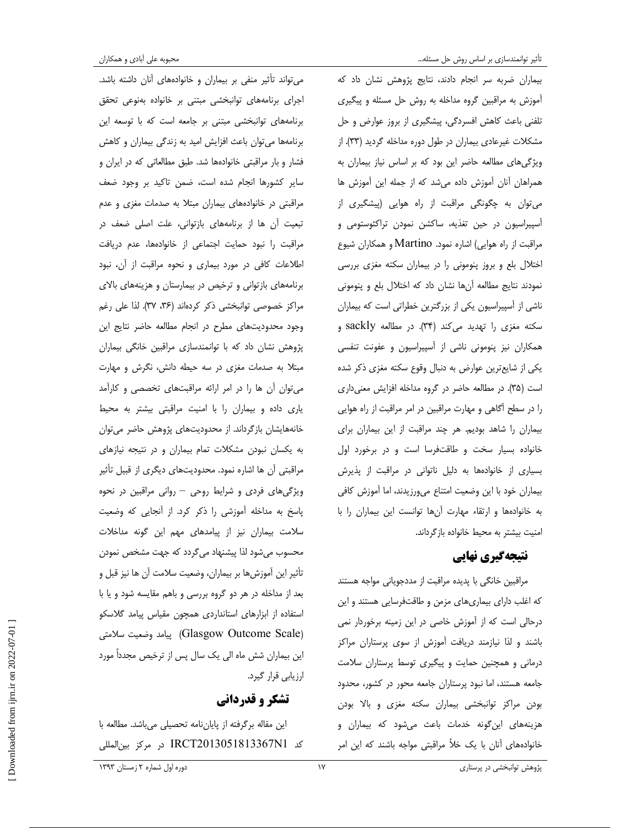ميتواند تأثير منفي بر بيماران و خانوادههاي آنان داشته باشد. اجراي برنامههاي توانبخشي مبتني بر خانواده بهنوعي تحقق برنامههاى توانبخشى مبتنى بر جامعه است كه با توسعه اين برنامهها ميتوان باعث افزايش اميد به زندگي بيماران و كاهش فشار و بار مراقبتي خانوادهها شد. طبق مطالعاتي كه در ايران و ساير كشورها انجام شده است، ضمن تاكيد بر وجود ضعف مراقبتي در خانوادههاي بيماران مبتلا به صدمات مغزي و عدم تبعيت آن ها از برنامههاى بازتواني، علت اصلى ضعف در مراقبت را نبود حمايت اجتماعي از خانوادهها، عدم دريافت اطلاعات كافي در مورد بيماري و نحوه مراقبت از آن، نبود برنامههاي بازتواني و ترخيص در بيمارستان و هزينههاي بالاي مراكز خصوصي توانبخشي ذكر كردهاند (٣۶، ٣٧). لذا علي رغم وجود محدود يتهاي مطرح در انجام مطالعه حاضر نتايج اين پژوهش نشان داد با كه توانمندسازي مراقبين خانگي بيماران مبتلا به صدمات مغزي در سه حيطه دانش، نگرش و مهارت ميتوان آن ها را در امر ارائه يها مراقبت تخصصي و كارآمد ياري داده و بيماران را با امنيت مراقبتي بيشتر به محيط ها خانه يشان بازگرداند. از محدوديتهاي پژوهش حاضر ميتوان به يكسان نبودن مشكلات تمام بيماران و در نتيجه نيازهاي مراقبتي آن ها اشاره نمود. محدوديتهاي ديگري از قبيل تأثير ويژگيهاي فردي و شرايط روحي – رواني مراقبين در نحوه پاسخ به مداخله آموزشي را ذكر كرد . از آنجا يي كه وضعيت سلامت بيماران نيز از پيامدهاي مهم اين گونه مداخلات محسوب يم شود لذا پيشنهاد يم گردد كه جهت مشخص نمودن تأثير اين آموزش ها بر بيماران، وضعيت سلامت آن ها نيز قبل و بعد از مداخله در هر دو گروه بررسي و باهم مقايسه شود و يا با استفاده از ابزارهاي استانداردي همچون مقياس پيامد گلاسكو (Glasgow Outcome Scale) پيامد وضعيت سلامتي اين بيماران شش ماه الي يک سال پس از ترخيص مجدداً مورد ارزيابي قرار گيرد.

### تشكر و قدرداني

اين مقاله برگرفته از پا ياننامه تحصيلي ميباشد. مطالعه با كد 1N2013051813367IRCT در مركز بينالمللي

بيماران ضربه سر انجام دادند، نتايج پژوهش نشان داد كه آموزش به مراقبين گروه مداخله به روش حل مسئله و پيگيري تلفني باعث كاهش افسردگي، پيشگيري از بروز عوارض و حل مشكلات غيرعادي بيماران در طول دوره مداخله گرديد (٣٣). از ويژگيهاي مطالعه حاضر ا ين بود كه بر اساس نياز بيماران به همراهان آنان آموزش داده يم شد كه از جمله اين آموزش ها ميتوان به چگونگي مراقبت از راه هوايي (پيشگيري از آسپيراسيون در حين تغذيه، ساكشن نمودن تراكئوستومي و مراقبت از راه هوايي ) اشاره نمود. Martino و همكاران شيوع اختلال بلع و بروز پنوموني را در بيماران سكته مغزي بررسي نمودند نتايج مطالعه آنها نشان داد كه اختلال بلع و پنوموني ناشي از آسپيراسيون يكي از بزرگترين خطراتي است كه بيماران سكته مغزي را تهديد ميكند (34). در مطالعه sackly و همكاران نيز پنوموني ناشي از آسپيراسيون و عفونت تنفسي يكي از شايعترين عوارض به دنبال وقوع سكته مغزي ذكر شده است (٣۵). در مطالعه حاضر در گروه مداخله افزايش معنى دارى را در سطح آگاهي و مهارت مراقبين در امر مراقبت از راه هوايي بيماران را شاهد بوديم. هر چند مراقبت از اين بيماران براي خانواده بسيار سخت و طاقتفرسا است و در برخورد اول بسياري از خانوادهها به دليل ناتواني در مراقبت از پذيرش بيماران خود با اين وضعيت امتناع يم ورزيدند، اما آموزش كافي به خانوادهها و ارتقاء مهارت آنها توانست اين بيماران را با امنيت بيشتر به محيط خانواده بازگرداند .

### نتيجهگيري نهايي

مراقبين خانگي با پديده مراقبت از مددجوياني مواجه هستند كه اغلب داراي بيماريهاي مزمن و طاقتفرسا يي هستند و اين درحالي است كه از آموزش خاصي در اين زمينه برخوردار نمي باشند و لذا نيازمند دريافت آموزش از سوي پرستاران مراكز درماني و همچنين حمايت و پيگيري توسط پرستاران سلامت جامعه هستند، اما نبود پرستاران جامعه محور در كشور، محدود بودن مراكز توانبخشي بيماران سكته مغزي و بالا بودن هزينههاي اين گونه خدمات باعث ميشود كه بيماران و خانوادههاي آنان با يك خلأ مراقبتي مواجه باشند كه اين امر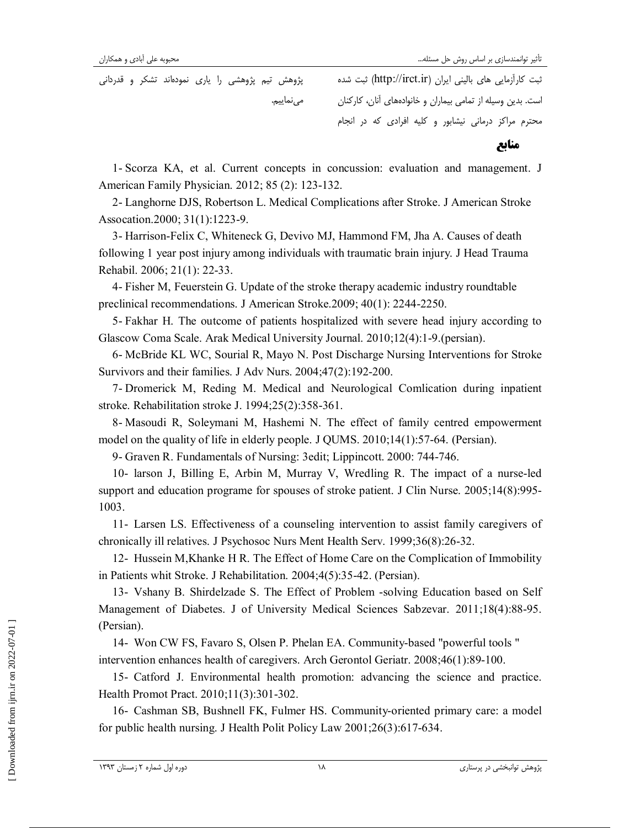ثبت كارآزمايي هاي باليني ايران (ir.irct://http (ثبت شده پژوهش تيم پژوهشي را ياري نمودهاند تشكر و قدرداني است. بدين وسيله از تمامي بيماران و خانوادههاي آنان، كاركنان مينماييم . محترم مراكز درماني نيشابور و كليه افرادي كه در انجام منابع

1- Scorza KA, et al. Current concepts in concussion: evaluation and management. J American Family Physician. 2012; 85 (2): 123-132.

2- Langhorne DJS, Robertson L. Medical Complications after Stroke. J American Stroke Assocation.2000; 31(1):1223-9.

3- Harrison-Felix C, Whiteneck G, Devivo MJ, Hammond FM, Jha A. Causes of death following 1 year post injury among individuals with traumatic brain injury. J Head Trauma Rehabil. 2006; 21(1): 22-33.

4- Fisher M, Feuerstein G. Update of the stroke therapy academic industry roundtable preclinical recommendations. J American Stroke.2009; 40(1): 2244-2250.

5- Fakhar H. The outcome of patients hospitalized with severe head injury according to Glascow Coma Scale. Arak Medical University Journal. 2010;12(4):1-9.(persian).

6- McBride KL WC, Sourial R, Mayo N. Post Discharge Nursing Interventions for Stroke Survivors and their families. J Adv Nurs. 2004;47(2):192-200.

7- Dromerick M, Reding M. Medical and Neurological Comlication during inpatient stroke. Rehabilitation stroke J. 1994;25(2):358-361.

8- Masoudi R, Soleymani M, Hashemi N. The effect of family centred empowerment model on the quality of life in elderly people. J QUMS. 2010;14(1):57-64. (Persian).

9- Graven R. Fundamentals of Nursing: 3edit; Lippincott. 2000: 744-746.

10- larson J, Billing E, Arbin M, Murray V, Wredling R. The impact of a nurse-led support and education programe for spouses of stroke patient. J Clin Nurse. 2005;14(8):995- 1003.

11- Larsen LS. Effectiveness of a counseling intervention to assist family caregivers of chronically ill relatives. J Psychosoc Nurs Ment Health Serv. 1999;36(8):26-32.

12- Hussein M,Khanke H R. The Effect of Home Care on the Complication of Immobility in Patients whit Stroke. J Rehabilitation. 2004;4(5):35-42. (Persian).

13- Vshany B. Shirdelzade S. The Effect of Problem -solving Education based on Self Management of Diabetes. J of University Medical Sciences Sabzevar. 2011;18(4):88-95. (Persian).

14- Won CW FS, Favaro S, Olsen P. Phelan EA. Community-based "powerful tools " intervention enhances health of caregivers. Arch Gerontol Geriatr. 2008;46(1):89-100.

15- Catford J. Environmental health promotion: advancing the science and practice. Health Promot Pract. 2010;11(3):301-302.

16- Cashman SB, Bushnell FK, Fulmer HS. Community-oriented primary care: a model for public health nursing. J Health Polit Policy Law 2001;26(3):617-634.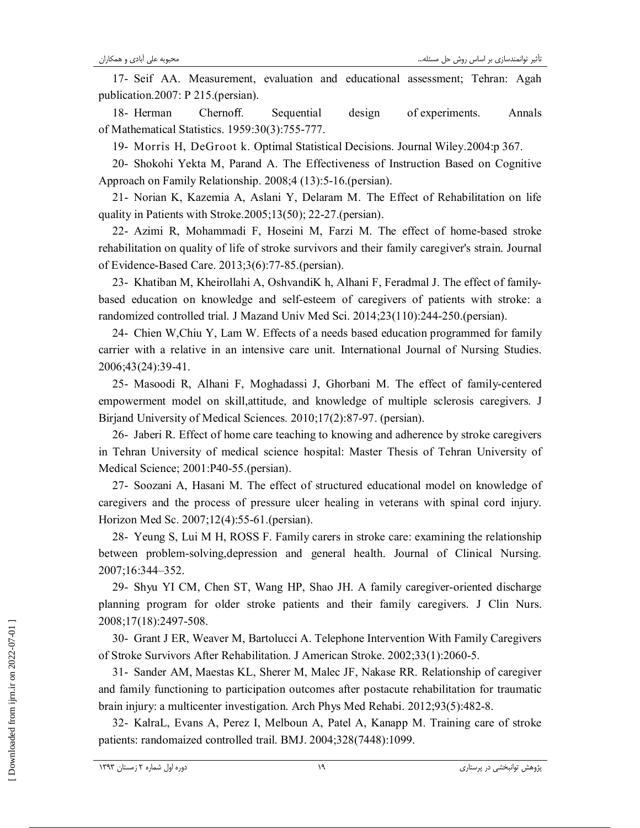17- Seif AA. Measurement, evaluation and educational assessment; Tehran: Agah publication.2007: P 215.(persian).

18- Herman Chernoff. Sequential design of experiments. Annals of Mathematical Statistics. 1959:30(3):755-777.

19- Morris H, DeGroot k. Optimal Statistical Decisions. Journal Wiley.2004:p 367.

20- Shokohi Yekta M, Parand A. The Effectiveness of Instruction Based on Cognitive Approach on Family Relationship. 2008;4 (13):5-16.(persian).

21- Norian K, Kazemia A, Aslani Y, Delaram M. The Effect of Rehabilitation on life quality in Patients with Stroke.2005;13(50); 22-27.(persian).

22- Azimi R, Mohammadi F, Hoseini M, Farzi M. The effect of home-based stroke rehabilitation on quality of life of stroke survivors and their family caregiver's strain. Journal of Evidence-Based Care. 2013;3(6):77-85.(persian).

23- Khatiban M, Kheirollahi A, OshvandiK h, Alhani F, Feradmal J. The effect of familybased education on knowledge and self-esteem of caregivers of patients with stroke: a randomized controlled trial. J Mazand Univ Med Sci. 2014;23(110):244-250.(persian).

24- Chien W,Chiu Y, Lam W. Effects of a needs based education programmed for family carrier with a relative in an intensive care unit. International Journal of Nursing Studies. 2006;43(24):39-41.

25- Masoodi R, Alhani F, Moghadassi J, Ghorbani M. The effect of family-centered empowerment model on skill,attitude, and knowledge of multiple sclerosis caregivers. J Birjand University of Medical Sciences. 2010;17(2):87-97. (persian).

26- Jaberi R. Effect of home care teaching to knowing and adherence by stroke caregivers in Tehran University of medical science hospital: Master Thesis of Tehran University of Medical Science; 2001:P40-55.(persian).

27- Soozani A, Hasani M. The effect of structured educational model on knowledge of caregivers and the process of pressure ulcer healing in veterans with spinal cord injury. Horizon Med Sc. 2007;12(4):55-61.(persian).

28- Yeung S, Lui M H, ROSS F. Family carers in stroke care: examining the relationship between problem-solving,depression and general health. Journal of Clinical Nursing. 2007;16:344–352 .

29- Shyu YI CM, Chen ST, Wang HP, Shao JH. A family caregiver-oriented discharge planning program for older stroke patients and their family caregivers. J Clin Nurs. 2008;17(18):2497-508.

30- Grant J ER, Weaver M, Bartolucci A. Telephone Intervention With Family Caregivers of Stroke Survivors After Rehabilitation. J American Stroke. 2002;33(1):2060-5.

31- Sander AM, Maestas KL, Sherer M, Malec JF, Nakase RR. Relationship of caregiver and family functioning to participation outcomes after postacute rehabilitation for traumatic brain injury: a multicenter investigation. Arch Phys Med Rehabi. 2012;93(5):482-8.

32- KalraL, Evans A, Perez I, Melboun A, Patel A, Kanapp M. Training care of stroke patients: randomaized controlled trail. BMJ. 2004;328(7448):1099.